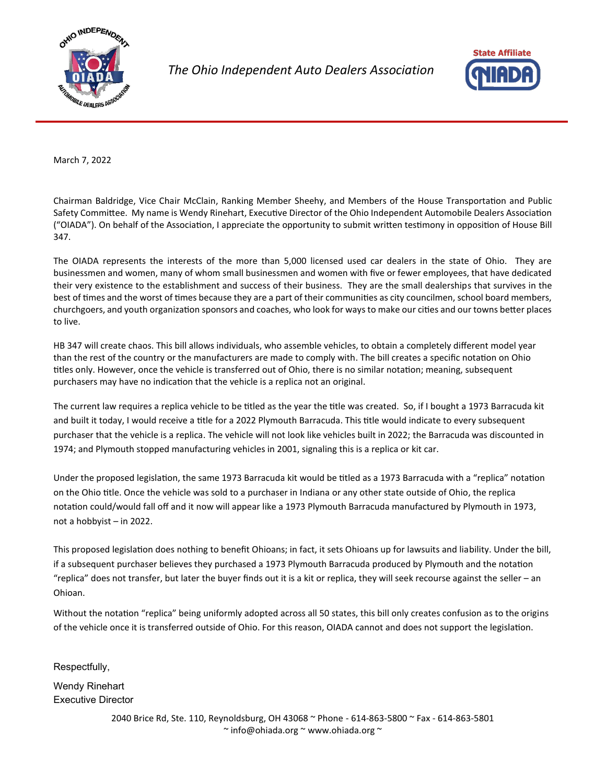

*The Ohio Independent Auto Dealers Association*



March 7, 2022

Chairman Baldridge, Vice Chair McClain, Ranking Member Sheehy, and Members of the House Transportation and Public Safety Committee. My name is Wendy Rinehart, Executive Director of the Ohio Independent Automobile Dealers Association ("OIADA"). On behalf of the Association, I appreciate the opportunity to submit written testimony in opposition of House Bill 347.

The OIADA represents the interests of the more than 5,000 licensed used car dealers in the state of Ohio. They are businessmen and women, many of whom small businessmen and women with five or fewer employees, that have dedicated their very existence to the establishment and success of their business. They are the small dealerships that survives in the best of times and the worst of times because they are a part of their communities as city councilmen, school board members, churchgoers, and youth organization sponsors and coaches, who look for ways to make our cities and our towns better places to live.

HB 347 will create chaos. This bill allows individuals, who assemble vehicles, to obtain a completely different model year than the rest of the country or the manufacturers are made to comply with. The bill creates a specific notation on Ohio titles only. However, once the vehicle is transferred out of Ohio, there is no similar notation; meaning, subsequent purchasers may have no indication that the vehicle is a replica not an original.

The current law requires a replica vehicle to be titled as the year the title was created. So, if I bought a 1973 Barracuda kit and built it today, I would receive a title for a 2022 Plymouth Barracuda. This title would indicate to every subsequent purchaser that the vehicle is a replica. The vehicle will not look like vehicles built in 2022; the Barracuda was discounted in 1974; and Plymouth stopped manufacturing vehicles in 2001, signaling this is a replica or kit car.

Under the proposed legislation, the same 1973 Barracuda kit would be titled as a 1973 Barracuda with a "replica" notation on the Ohio title. Once the vehicle was sold to a purchaser in Indiana or any other state outside of Ohio, the replica notation could/would fall off and it now will appear like a 1973 Plymouth Barracuda manufactured by Plymouth in 1973, not a hobbyist – in 2022.

This proposed legislation does nothing to benefit Ohioans; in fact, it sets Ohioans up for lawsuits and liability. Under the bill, if a subsequent purchaser believes they purchased a 1973 Plymouth Barracuda produced by Plymouth and the notation "replica" does not transfer, but later the buyer finds out it is a kit or replica, they will seek recourse against the seller – an Ohioan.

Without the notation "replica" being uniformly adopted across all 50 states, this bill only creates confusion as to the origins of the vehicle once it is transferred outside of Ohio. For this reason, OIADA cannot and does not support the legislation.

Respectfully,

Wendy Rinehart Executive Director